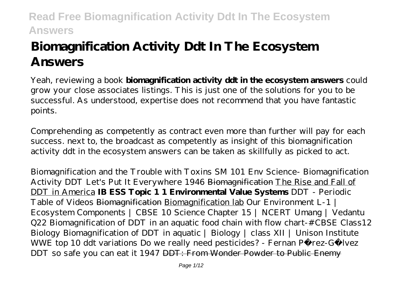# **Biomagnification Activity Ddt In The Ecosystem Answers**

Yeah, reviewing a book **biomagnification activity ddt in the ecosystem answers** could grow your close associates listings. This is just one of the solutions for you to be successful. As understood, expertise does not recommend that you have fantastic points.

Comprehending as competently as contract even more than further will pay for each success. next to, the broadcast as competently as insight of this biomagnification activity ddt in the ecosystem answers can be taken as skillfully as picked to act.

*Biomagnification and the Trouble with Toxins SM 101 Env Science- Biomagnification Activity DDT Let's Put It Everywhere 1946* Biomagnification The Rise and Fall of DDT in America **IB ESS Topic 1 1 Environmental Value Systems** *DDT - Periodic Table of Videos* Biomagnification Biomagnification lab *Our Environment L-1 | Ecosystem Components | CBSE 10 Science Chapter 15 | NCERT Umang | Vedantu Q22 Biomagnification of DDT in an aquatic food chain with flow chart-#CBSE Class12 Biology Biomagnification of DDT in aquatic | Biology | class XII | Unison Institute WWE top 10 ddt variations Do we really need pesticides? - Fernan Pérez-Gálvez* DDT so safe you can eat it 1947 DDT: From Wonder Powder to Public Enemy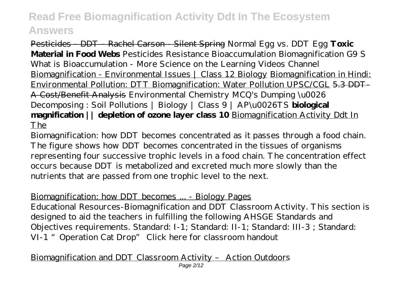Pesticides - DDT - Rachel Carson - Silent Spring Normal Egg vs. DDT Egg **Toxic Material in Food Webs** *Pesticides Resistance Bioaccumulation Biomagnification G9 S* What is Bioaccumulation - More Science on the Learning Videos Channel Biomagnification - Environmental Issues | Class 12 Biology Biomagnification in Hindi: Environmental Pollution: DTT Biomagnification: Water Pollution UPSC/CGL 5.3 DDT-A Cost/Benefit Analysis Environmental Chemistry MCQ's Dumping \u0026 Decomposing : Soil Pollutions | Biology | Class 9 | AP\u0026TS **biological magnification || depletion of ozone layer class 10** Biomagnification Activity Ddt In The

Biomagnification: how DDT becomes concentrated as it passes through a food chain. The figure shows how DDT becomes concentrated in the tissues of organisms representing four successive trophic levels in a food chain. The concentration effect occurs because DDT is metabolized and excreted much more slowly than the nutrients that are passed from one trophic level to the next.

### Biomagnification: how DDT becomes ... - Biology Pages

Educational Resources-Biomagnification and DDT Classroom Activity. This section is designed to aid the teachers in fulfilling the following AHSGE Standards and Objectives requirements. Standard: I-1; Standard: II-1; Standard: III-3 ; Standard: VI-1 "Operation Cat Drop" Click here for classroom handout

Biomagnification and DDT Classroom Activity – Action Outdoors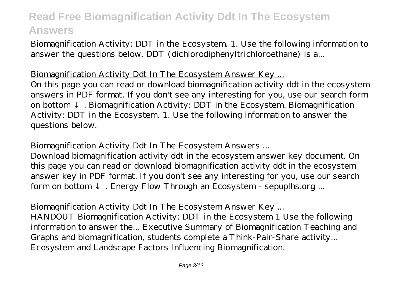Biomagnification Activity: DDT in the Ecosystem. 1. Use the following information to answer the questions below. DDT (dichlorodiphenyltrichloroethane) is a...

### Biomagnification Activity Ddt In The Ecosystem Answer Key ...

On this page you can read or download biomagnification activity ddt in the ecosystem answers in PDF format. If you don't see any interesting for you, use our search form on bottom . Biomagnification Activity: DDT in the Ecosystem. Biomagnification Activity: DDT in the Ecosystem. 1. Use the following information to answer the questions below.

Biomagnification Activity Ddt In The Ecosystem Answers ...

Download biomagnification activity ddt in the ecosystem answer key document. On this page you can read or download biomagnification activity ddt in the ecosystem answer key in PDF format. If you don't see any interesting for you, use our search form on bottom . Energy Flow Through an Ecosystem - sepuplhs.org ...

Biomagnification Activity Ddt In The Ecosystem Answer Key ...

HANDOUT Biomagnification Activity: DDT in the Ecosystem 1 Use the following information to answer the... Executive Summary of Biomagnification Teaching and Graphs and biomagnification, students complete a Think-Pair-Share activity... Ecosystem and Landscape Factors Influencing Biomagnification.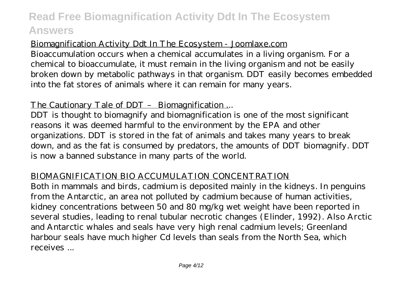### Biomagnification Activity Ddt In The Ecosystem - Joomlaxe.com

Bioaccumulation occurs when a chemical accumulates in a living organism. For a chemical to bioaccumulate, it must remain in the living organism and not be easily broken down by metabolic pathways in that organism. DDT easily becomes embedded into the fat stores of animals where it can remain for many years.

### The Cautionary Tale of DDT - Biomagnification ...

DDT is thought to biomagnify and biomagnification is one of the most significant reasons it was deemed harmful to the environment by the EPA and other organizations. DDT is stored in the fat of animals and takes many years to break down, and as the fat is consumed by predators, the amounts of DDT biomagnify. DDT is now a banned substance in many parts of the world.

### BIOMAGNIFICATION BIO ACCUMULATION CONCENTRATION

Both in mammals and birds, cadmium is deposited mainly in the kidneys. In penguins from the Antarctic, an area not polluted by cadmium because of human activities, kidney concentrations between 50 and 80 mg/kg wet weight have been reported in several studies, leading to renal tubular necrotic changes (Elinder, 1992). Also Arctic and Antarctic whales and seals have very high renal cadmium levels; Greenland harbour seals have much higher Cd levels than seals from the North Sea, which receives ...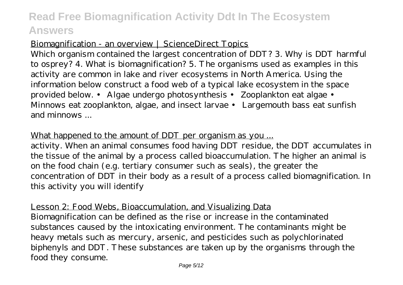### Biomagnification - an overview | ScienceDirect Topics

Which organism contained the largest concentration of DDT? 3. Why is DDT harmful to osprey? 4. What is biomagnification? 5. The organisms used as examples in this activity are common in lake and river ecosystems in North America. Using the information below construct a food web of a typical lake ecosystem in the space provided below. • Algae undergo photosynthesis • Zooplankton eat algae • Minnows eat zooplankton, algae, and insect larvae • Largemouth bass eat sunfish and minnows ...

What happened to the amount of DDT per organism as you ...

activity. When an animal consumes food having DDT residue, the DDT accumulates in the tissue of the animal by a process called bioaccumulation. The higher an animal is on the food chain (e.g. tertiary consumer such as seals), the greater the concentration of DDT in their body as a result of a process called biomagnification. In this activity you will identify

Lesson 2: Food Webs, Bioaccumulation, and Visualizing Data Biomagnification can be defined as the rise or increase in the contaminated substances caused by the intoxicating environment. The contaminants might be heavy metals such as mercury, arsenic, and pesticides such as polychlorinated biphenyls and DDT. These substances are taken up by the organisms through the food they consume.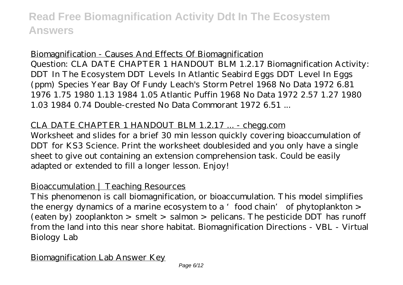#### Biomagnification - Causes And Effects Of Biomagnification

Question: CLA DATE CHAPTER 1 HANDOUT BLM 1.2.17 Biomagnification Activity: DDT In The Ecosystem DDT Levels In Atlantic Seabird Eggs DDT Level In Eggs (ppm) Species Year Bay Of Fundy Leach's Storm Petrel 1968 No Data 1972 6.81 1976 1.75 1980 1.13 1984 1.05 Atlantic Puffin 1968 No Data 1972 2.57 1.27 1980 1.03 1984 0.74 Double-crested No Data Commorant 1972 6.51 ...

#### CLA DATE CHAPTER 1 HANDOUT BLM 1.2.17 ... - chegg.com

Worksheet and slides for a brief 30 min lesson quickly covering bioaccumulation of DDT for KS3 Science. Print the worksheet doublesided and you only have a single sheet to give out containing an extension comprehension task. Could be easily adapted or extended to fill a longer lesson. Enjoy!

#### Bioaccumulation | Teaching Resources

This phenomenon is call biomagnification, or bioaccumulation. This model simplifies the energy dynamics of a marine ecosystem to a 'food chain' of phytoplankton > (eaten by) zooplankton > smelt > salmon > pelicans. The pesticide DDT has runoff from the land into this near shore habitat. Biomagnification Directions - VBL - Virtual Biology Lab

#### Biomagnification Lab Answer Key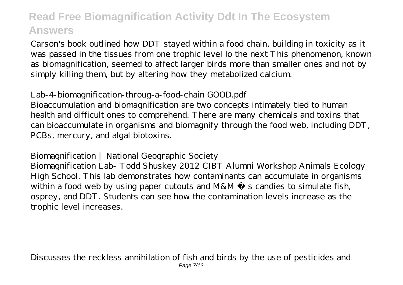Carson's book outlined how DDT stayed within a food chain, building in toxicity as it was passed in the tissues from one trophic level lo the next This phenomenon, known as biomagnification, seemed to affect larger birds more than smaller ones and not by simply killing them, but by altering how they metabolized calcium.

### Lab-4-biomagnification-throug-a-food-chain GOOD.pdf

Bioaccumulation and biomagnification are two concepts intimately tied to human health and difficult ones to comprehend. There are many chemicals and toxins that can bioaccumulate in organisms and biomagnify through the food web, including DDT, PCBs, mercury, and algal biotoxins.

#### Biomagnification | National Geographic Society

Biomagnification Lab- Todd Shuskey 2012 CIBT Alumni Workshop Animals Ecology High School. This lab demonstrates how contaminants can accumulate in organisms within a food web by using paper cutouts and  $M&M \&$  s candies to simulate fish, osprey, and DDT. Students can see how the contamination levels increase as the trophic level increases.

Discusses the reckless annihilation of fish and birds by the use of pesticides and Page 7/12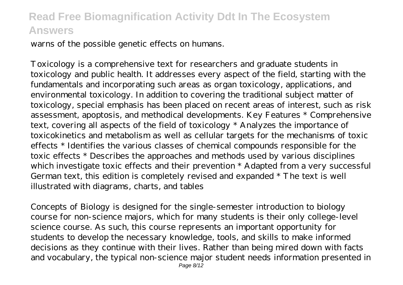warns of the possible genetic effects on humans.

Toxicology is a comprehensive text for researchers and graduate students in toxicology and public health. It addresses every aspect of the field, starting with the fundamentals and incorporating such areas as organ toxicology, applications, and environmental toxicology. In addition to covering the traditional subject matter of toxicology, special emphasis has been placed on recent areas of interest, such as risk assessment, apoptosis, and methodical developments. Key Features \* Comprehensive text, covering all aspects of the field of toxicology \* Analyzes the importance of toxicokinetics and metabolism as well as cellular targets for the mechanisms of toxic effects \* Identifies the various classes of chemical compounds responsible for the toxic effects \* Describes the approaches and methods used by various disciplines which investigate toxic effects and their prevention \* Adapted from a very successful German text, this edition is completely revised and expanded \* The text is well illustrated with diagrams, charts, and tables

Concepts of Biology is designed for the single-semester introduction to biology course for non-science majors, which for many students is their only college-level science course. As such, this course represents an important opportunity for students to develop the necessary knowledge, tools, and skills to make informed decisions as they continue with their lives. Rather than being mired down with facts and vocabulary, the typical non-science major student needs information presented in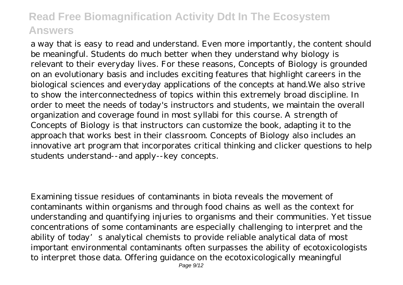a way that is easy to read and understand. Even more importantly, the content should be meaningful. Students do much better when they understand why biology is relevant to their everyday lives. For these reasons, Concepts of Biology is grounded on an evolutionary basis and includes exciting features that highlight careers in the biological sciences and everyday applications of the concepts at hand.We also strive to show the interconnectedness of topics within this extremely broad discipline. In order to meet the needs of today's instructors and students, we maintain the overall organization and coverage found in most syllabi for this course. A strength of Concepts of Biology is that instructors can customize the book, adapting it to the approach that works best in their classroom. Concepts of Biology also includes an innovative art program that incorporates critical thinking and clicker questions to help students understand--and apply--key concepts.

Examining tissue residues of contaminants in biota reveals the movement of contaminants within organisms and through food chains as well as the context for understanding and quantifying injuries to organisms and their communities. Yet tissue concentrations of some contaminants are especially challenging to interpret and the ability of today's analytical chemists to provide reliable analytical data of most important environmental contaminants often surpasses the ability of ecotoxicologists to interpret those data. Offering guidance on the ecotoxicologically meaningful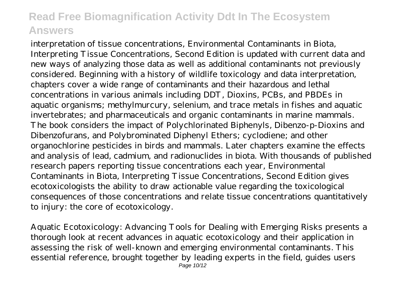interpretation of tissue concentrations, Environmental Contaminants in Biota, Interpreting Tissue Concentrations, Second Edition is updated with current data and new ways of analyzing those data as well as additional contaminants not previously considered. Beginning with a history of wildlife toxicology and data interpretation, chapters cover a wide range of contaminants and their hazardous and lethal concentrations in various animals including DDT, Dioxins, PCBs, and PBDEs in aquatic organisms; methylmurcury, selenium, and trace metals in fishes and aquatic invertebrates; and pharmaceuticals and organic contaminants in marine mammals. The book considers the impact of Polychlorinated Biphenyls, Dibenzo-p-Dioxins and Dibenzofurans, and Polybrominated Diphenyl Ethers; cyclodiene; and other organochlorine pesticides in birds and mammals. Later chapters examine the effects and analysis of lead, cadmium, and radionuclides in biota. With thousands of published research papers reporting tissue concentrations each year, Environmental Contaminants in Biota, Interpreting Tissue Concentrations, Second Edition gives ecotoxicologists the ability to draw actionable value regarding the toxicological consequences of those concentrations and relate tissue concentrations quantitatively to injury: the core of ecotoxicology.

Aquatic Ecotoxicology: Advancing Tools for Dealing with Emerging Risks presents a thorough look at recent advances in aquatic ecotoxicology and their application in assessing the risk of well-known and emerging environmental contaminants. This essential reference, brought together by leading experts in the field, guides users Page 10/12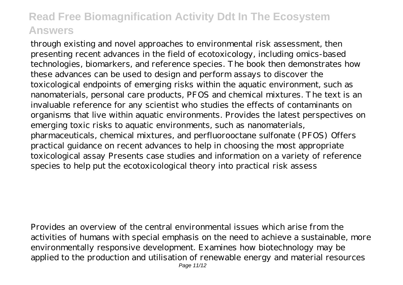through existing and novel approaches to environmental risk assessment, then presenting recent advances in the field of ecotoxicology, including omics-based technologies, biomarkers, and reference species. The book then demonstrates how these advances can be used to design and perform assays to discover the toxicological endpoints of emerging risks within the aquatic environment, such as nanomaterials, personal care products, PFOS and chemical mixtures. The text is an invaluable reference for any scientist who studies the effects of contaminants on organisms that live within aquatic environments. Provides the latest perspectives on emerging toxic risks to aquatic environments, such as nanomaterials, pharmaceuticals, chemical mixtures, and perfluorooctane sulfonate (PFOS) Offers practical guidance on recent advances to help in choosing the most appropriate toxicological assay Presents case studies and information on a variety of reference species to help put the ecotoxicological theory into practical risk assess

Provides an overview of the central environmental issues which arise from the activities of humans with special emphasis on the need to achieve a sustainable, more environmentally responsive development. Examines how biotechnology may be applied to the production and utilisation of renewable energy and material resources Page 11/12